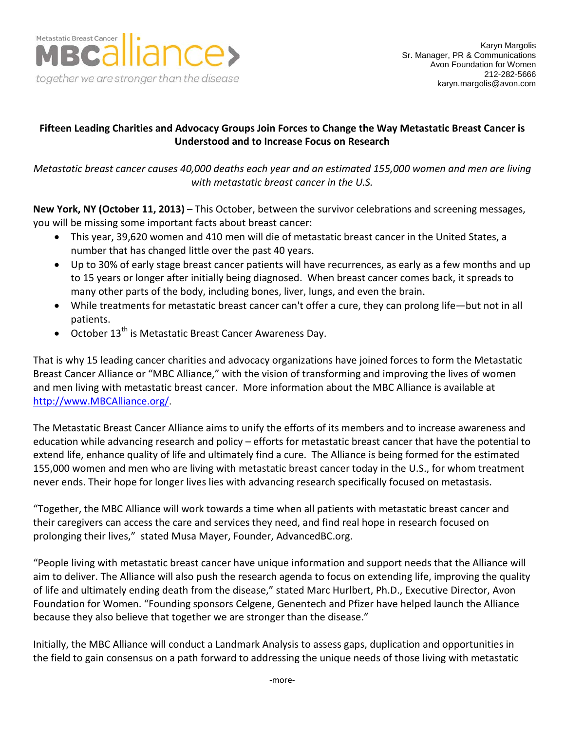

## **Fifteen Leading Charities and Advocacy Groups Join Forces to Change the Way Metastatic Breast Cancer is Understood and to Increase Focus on Research**

*Metastatic breast cancer causes 40,000 deaths each year and an estimated 155,000 women and men are living with metastatic breast cancer in the U.S.*

**New York, NY (October 11, 2013)** – This October, between the survivor celebrations and screening messages, you will be missing some important facts about breast cancer:

- This year, 39,620 women and 410 men will die of metastatic breast cancer in the United States, a number that has changed little over the past 40 years.
- Up to 30% of early stage breast cancer patients will have recurrences, as early as a few months and up to 15 years or longer after initially being diagnosed. When breast cancer comes back, it spreads to many other parts of the body, including bones, liver, lungs, and even the brain.
- While treatments for metastatic breast cancer can't offer a cure, they can prolong life—but not in all patients.
- October  $13^{th}$  is Metastatic Breast Cancer Awareness Day.

That is why 15 leading cancer charities and advocacy organizations have joined forces to form the Metastatic Breast Cancer Alliance or "MBC Alliance," with the vision of transforming and improving the lives of women and men living with metastatic breast cancer. More information about the MBC Alliance is available at [http://www.MBCAlliance.org/.](http://www.mbcalliance.org/)

The Metastatic Breast Cancer Alliance aims to unify the efforts of its members and to increase awareness and education while advancing research and policy – efforts for metastatic breast cancer that have the potential to extend life, enhance quality of life and ultimately find a cure. The Alliance is being formed for the estimated 155,000 women and men who are living with metastatic breast cancer today in the U.S., for whom treatment never ends. Their hope for longer lives lies with advancing research specifically focused on metastasis.

"Together, the MBC Alliance will work towards a time when all patients with metastatic breast cancer and their caregivers can access the care and services they need, and find real hope in research focused on prolonging their lives," stated Musa Mayer, Founder, AdvancedBC.org.

"People living with metastatic breast cancer have unique information and support needs that the Alliance will aim to deliver. The Alliance will also push the research agenda to focus on extending life, improving the quality of life and ultimately ending death from the disease," stated Marc Hurlbert, Ph.D., Executive Director, Avon Foundation for Women. "Founding sponsors Celgene, Genentech and Pfizer have helped launch the Alliance because they also believe that together we are stronger than the disease."

Initially, the MBC Alliance will conduct a Landmark Analysis to assess gaps, duplication and opportunities in the field to gain consensus on a path forward to addressing the unique needs of those living with metastatic